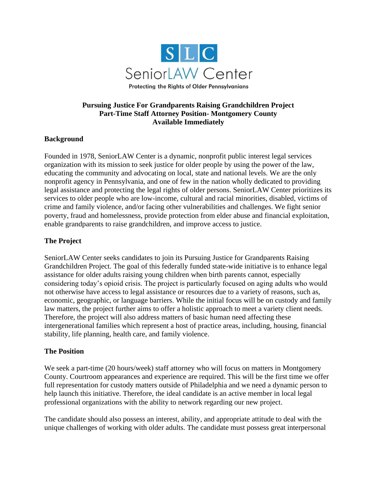

## **Pursuing Justice For Grandparents Raising Grandchildren Project Part-Time Staff Attorney Position- Montgomery County Available Immediately**

### **Background**

Founded in 1978, SeniorLAW Center is a dynamic, nonprofit public interest legal services organization with its mission to seek justice for older people by using the power of the law, educating the community and advocating on local, state and national levels. We are the only nonprofit agency in Pennsylvania, and one of few in the nation wholly dedicated to providing legal assistance and protecting the legal rights of older persons. SeniorLAW Center prioritizes its services to older people who are low-income, cultural and racial minorities, disabled, victims of crime and family violence, and/or facing other vulnerabilities and challenges. We fight senior poverty, fraud and homelessness, provide protection from elder abuse and financial exploitation, enable grandparents to raise grandchildren, and improve access to justice.

## **The Project**

SeniorLAW Center seeks candidates to join its Pursuing Justice for Grandparents Raising Grandchildren Project. The goal of this federally funded state-wide initiative is to enhance legal assistance for older adults raising young children when birth parents cannot, especially considering today's opioid crisis. The project is particularly focused on aging adults who would not otherwise have access to legal assistance or resources due to a variety of reasons, such as, economic, geographic, or language barriers. While the initial focus will be on custody and family law matters, the project further aims to offer a holistic approach to meet a variety client needs. Therefore, the project will also address matters of basic human need affecting these intergenerational families which represent a host of practice areas, including, housing, financial stability, life planning, health care, and family violence.

### **The Position**

We seek a part-time (20 hours/week) staff attorney who will focus on matters in Montgomery County. Courtroom appearances and experience are required. This will be the first time we offer full representation for custody matters outside of Philadelphia and we need a dynamic person to help launch this initiative. Therefore, the ideal candidate is an active member in local legal professional organizations with the ability to network regarding our new project.

The candidate should also possess an interest, ability, and appropriate attitude to deal with the unique challenges of working with older adults. The candidate must possess great interpersonal